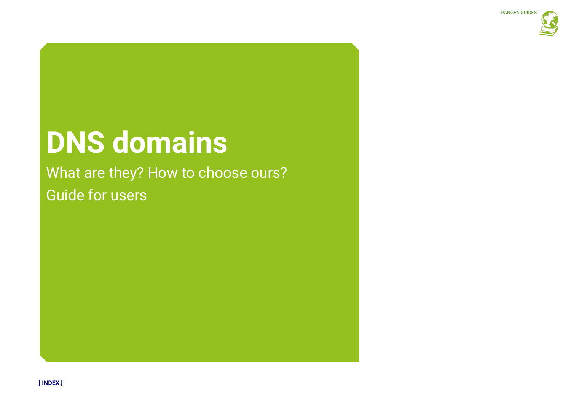# **DNS domains**

# What are they? How to choose ours? Guide for users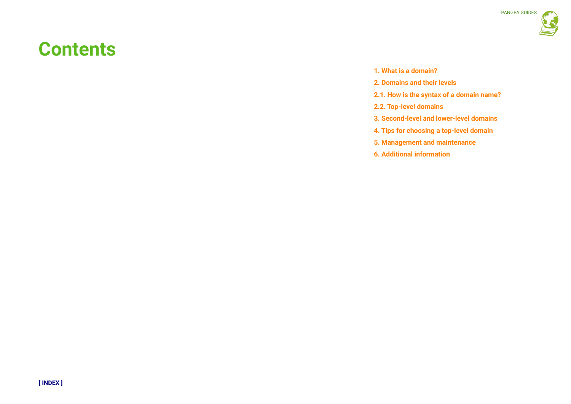# **Contents**

- **1. What is a domain?**
- **2. Domains and their levels**
- **2.1. How is the syntax of a domain name?**
- **2.2. Top-level domains**
- **3. Second-level and lower-level domains**
- **4. Tips for choosing a top-level domain**
- **5. Management and maintenance**
- **6. Additional information**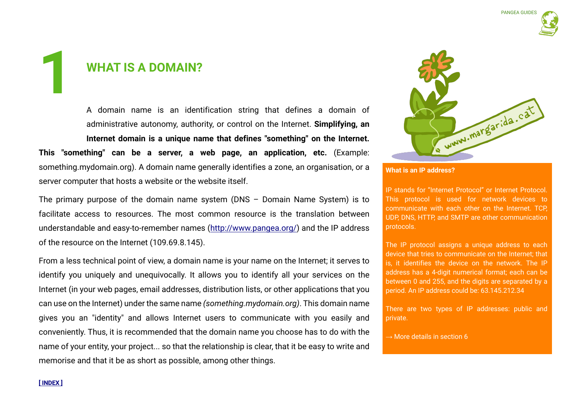# **WHAT IS A DOMAIN? 1**

A domain name is an identification string that defines a domain of administrative autonomy, authority, or control on the Internet. **Simplifying, an Internet domain is a unique name that defines "something" on the Internet. This "something" can be a server, a web page, an application, etc.** (Example: something.mydomain.org). A domain name generally identifies a zone, an organisation, or a server computer that hosts a website or the website itself.

The primary purpose of the domain name system (DNS – Domain Name System) is to facilitate access to resources. The most common resource is the translation between understandable and easy-to-remember names (http://www.pangea.org/) and the IP address of the resource on the Internet (109.69.8.145).

From a less technical point of view, a domain name is your name on the Internet; it serves to identify you uniquely and unequivocally. It allows you to identify all your services on the Internet (in your web pages, email addresses, distribution lists, or other applications that you can use on the Internet) under the same name *(something.mydomain.org)*. This domain name gives you an "identity" and allows Internet users to communicate with you easily and conveniently. Thus, it is recommended that the domain name you choose has to do with the name of your entity, your project... so that the relationship is clear, that it be easy to write and memorise and that it be as short as possible, among other things.



**What is an IP address?**

IP stands for "Internet Protocol" or Internet Protocol. This protocol is used for network devices to communicate with each other on the Internet. TCP, UDP, DNS, HTTP, and SMTP are other communication protocols.

The IP protocol assigns a unique address to each device that tries to communicate on the Internet; that is, it identifies the device on the network. The IP address has a 4-digit numerical format; each can be between 0 and 255, and the digits are separated by a period. An IP address could be: 63.145.212.34

There are two types of IP addresses: public and private.

 $\rightarrow$  More details in section 6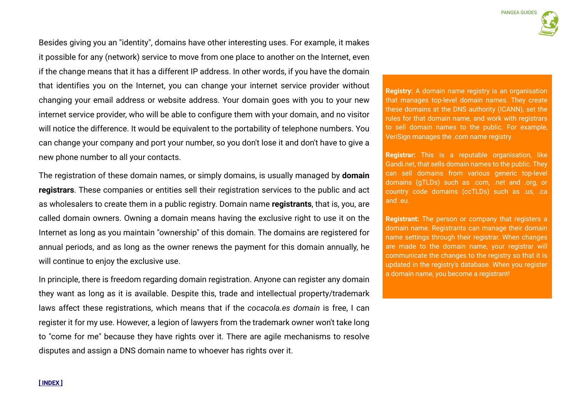Besides giving you an "identity", domains have other interesting uses. For example, it makes it possible for any (network) service to move from one place to another on the Internet, even if the change means that it has a different IP address. In other words, if you have the domain that identifies you on the Internet, you can change your internet service provider without changing your email address or website address. Your domain goes with you to your new internet service provider, who will be able to configure them with your domain, and no visitor will notice the difference. It would be equivalent to the portability of telephone numbers. You can change your company and port your number, so you don't lose it and don't have to give a new phone number to all your contacts.

The registration of these domain names, or simply domains, is usually managed by **domain registrars**. These companies or entities sell their registration services to the public and act as wholesalers to create them in a public registry. Domain name **registrants**, that is, you, are called domain owners. Owning a domain means having the exclusive right to use it on the Internet as long as you maintain "ownership" of this domain. The domains are registered for annual periods, and as long as the owner renews the payment for this domain annually, he will continue to enjoy the exclusive use.

In principle, there is freedom regarding domain registration. Anyone can register any domain they want as long as it is available. Despite this, trade and intellectual property/trademark laws affect these registrations, which means that if the *cocacola.es domain* is free, I can register it for my use. However, a legion of lawyers from the trademark owner won't take long to "come for me" because they have rights over it. There are agile mechanisms to resolve disputes and assign a DNS domain name to whoever has rights over it.

**Registry:** A domain name registry is an organisation that manages top-level domain names. They create these domains at the DNS authority (ICANN), set the rules for that domain name, and work with registrars to sell domain names to the public. For example, VeriSign manages the .com name registry.

**Registrar:** This is a reputable organisation, like Gandi.net, that sells domain names to the public. They can sell domains from various generic top-level domains (gTLDs) such as .com, .net and .org, or country code domains (ccTLDs) such as .us, .ca and .eu.

**Registrant:** The person or company that registers a domain name. Registrants can manage their domain name settings through their registrar. When changes are made to the domain name, your registrar will communicate the changes to the registry so that it is updated in the registry's database. When you register a domain name, you become a registrant!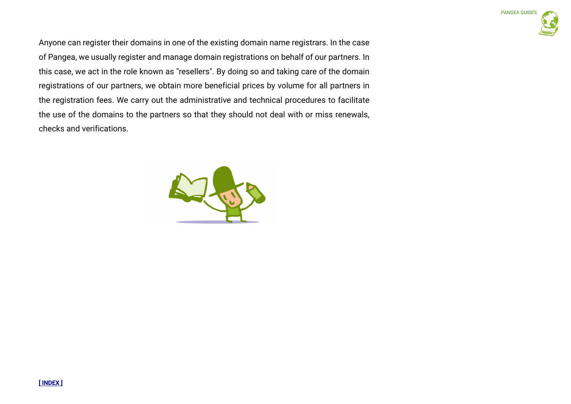Anyone can register their domains in one of the existing domain name registrars. In the case of Pangea, we usually register and manage domain registrations on behalf of our partners. In this case, we act in the role known as "resellers". By doing so and taking care of the domain registrations of our partners, we obtain more beneficial prices by volume for all partners in the registration fees. We carry out the administrative and technical procedures to facilitate the use of the domains to the partners so that they should not deal with or miss renewals, checks and verifications.



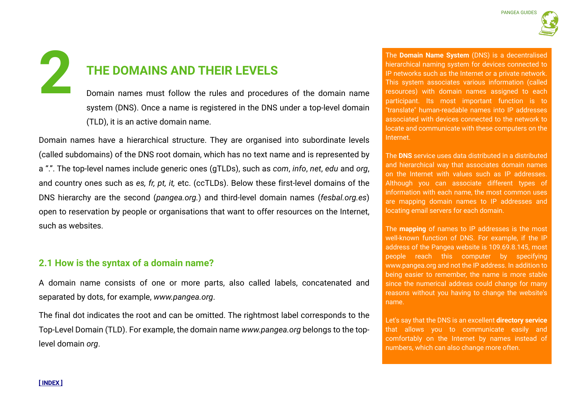# **THE DOMAINS AND THEIR LEVELS 22 THE DOMAINS AND THEIR LEVELS**<br> **22 THE DOMAINS AND THEIR LEVELS**<br>
Domain names must follow the rules and procedures of the domain name<br>
(CNO) Contains and the rules and procedures of the domain name<br>
(CNO) Contains a s

Domain names must follow the rules and procedures of the domain name system (DNS). Once a name is registered in the DNS under a top-level domain (TLD), it is an active domain name.

Domain names have a hierarchical structure. They are organised into subordinate levels (called subdomains) of the DNS root domain, which has no text name and is represented by a ".". The top-level names include generic ones (gTLDs), such as *com*, *info*, *net*, *edu* and *org*, and country ones such as *es, fr, pt, it,* etc. (ccTLDs). Below these first-level domains of the DNS hierarchy are the second (*pangea.org.*) and third-level domain names (*fesbal.org.es*) open to reservation by people or organisations that want to offer resources on the Internet, such as websites.

# **2.1 How is the syntax of a domain name?**

A domain name consists of one or more parts, also called labels, concatenated and separated by dots, for example, *www.pangea.org*.

The final dot indicates the root and can be omitted. The rightmost label corresponds to the Top-Level Domain (TLD). For example, the domain name *www.pangea.org* belongs to the toplevel domain *org*.

hierarchical naming system for devices connected to IP networks such as the Internet or a private network. This system associates various information (called resources) with domain names assigned to each participant. Its most important function is to "translate" human-readable names into IP addresses associated with devices connected to the network to locate and communicate with these computers on the Internet.

The **DNS** service uses data distributed in a distributed and hierarchical way that associates domain names on the Internet with values such as IP addresses. Although you can associate different types of information with each name, the most common uses are mapping domain names to IP addresses and locating email servers for each domain.

The **mapping** of names to IP addresses is the most well-known function of DNS. For example, if the IP address of the Pangea website is 109.69.8.145, most people reach this computer by specifying www.pangea.org and not the IP address. In addition to being easier to remember, the name is more stable since the numerical address could change for many reasons without you having to change the website's name.

Let's say that the DNS is an excellent **directory service** that allows you to communicate easily and comfortably on the Internet by names instead of numbers, which can also change more often.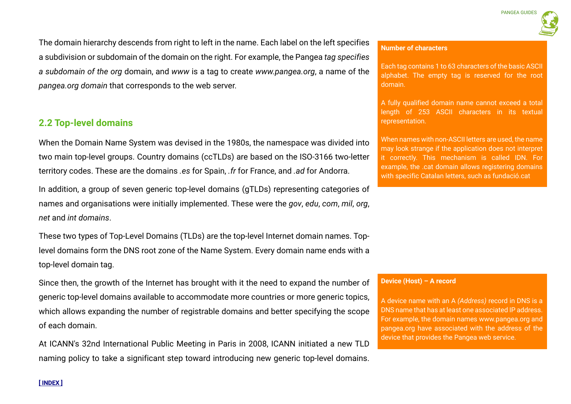The domain hierarchy descends from right to left in the name. Each label on the left specifies a subdivision or subdomain of the domain on the right. For example, the Pangea *tag specifies a subdomain of the org* domain, and *www* is a tag to create *www.pangea.org*, a name of the *pangea.org domain* that corresponds to the web server.

# **2.2 Top-level domains**

When the Domain Name System was devised in the 1980s, the namespace was divided into two main top-level groups. Country domains (ccTLDs) are based on the ISO-3166 two-letter territory codes. These are the domains *.es* for Spain, *.fr* for France, and *.ad* for Andorra.

In addition, a group of seven generic top-level domains (gTLDs) representing categories of names and organisations were initially implemented. These were the *gov*, *edu*, *com*, *mil*, *org*, *net* and *int domains*.

These two types of Top-Level Domains (TLDs) are the top-level Internet domain names. Toplevel domains form the DNS root zone of the Name System. Every domain name ends with a top-level domain tag.

Since then, the growth of the Internet has brought with it the need to expand the number of generic top-level domains available to accommodate more countries or more generic topics, which allows expanding the number of registrable domains and better specifying the scope of each domain.

At ICANN's 32nd International Public Meeting in Paris in 2008, ICANN initiated a new TLD naming policy to take a significant step toward introducing new generic top-level domains.

# **Number of characters**

Each tag contains 1 to 63 characters of the basic ASCII alphabet. The empty tag is reserved for the root domain.

A fully qualified domain name cannot exceed a total length of 253 ASCII characters in its textual representation.

When names with non-ASCII letters are used, the name may look strange if the application does not interpret it correctly. This mechanism is called IDN. For example, the .cat domain allows registering domains with specific Catalan letters, such as fundació.cat

# **Device (Host) – A record**

A device name with an A *(Address)* record in DNS is a DNS name that has at least one associated IP address. For example, the domain names www.pangea.org and pangea.org have associated with the address of the device that provides the Pangea web service.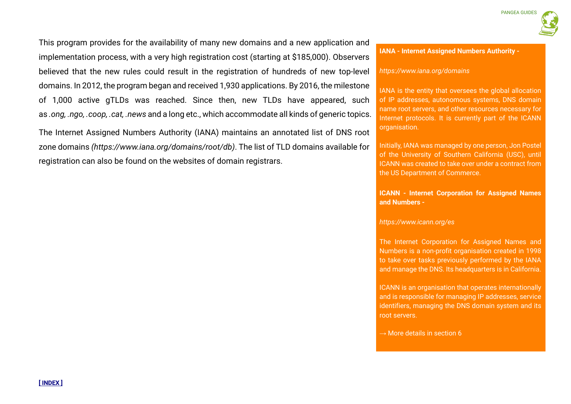**PANGEA GUIDE** 

**IANA - Internet Assigned Numbers Authority -**

# *https://www.iana.org/domains*

IANA is the entity that oversees the global allocation of IP addresses, autonomous systems, DNS domain name root servers, and other resources necessary for Internet protocols. It is currently part of the ICANN organisation.

Initially, IANA was managed by one person, Jon Postel of the University of Southern California (USC), until ICANN was created to take over under a contract from the US Department of Commerce.

**ICANN - Internet Corporation for Assigned Names and Numbers -**

## *https://www.icann.org/es*

The Internet Corporation for Assigned Names and Numbers is a non-profit organisation created in 1998 to take over tasks previously performed by the IANA and manage the DNS. Its headquarters is in California.

ICANN is an organisation that operates internationally and is responsible for managing IP addresses, service identifiers, managing the DNS domain system and its root servers.

 $\rightarrow$  More details in section 6

This program provides for the availability of many new domains and a new application and implementation process, with a very high registration cost (starting at \$185,000). Observers believed that the new rules could result in the registration of hundreds of new top-level domains. In 2012, the program began and received 1,930 applications. By 2016, the milestone of 1,000 active gTLDs was reached. Since then, new TLDs have appeared, such as *.ong, .ngo, .coop, .cat, .news* and a long etc., which accommodate all kinds of generic topics.

The Internet Assigned Numbers Authority (IANA) maintains an annotated list of DNS root zone domains *(https://www.iana.org/domains/root/db)*. The list of TLD domains available for registration can also be found on the websites of domain registrars.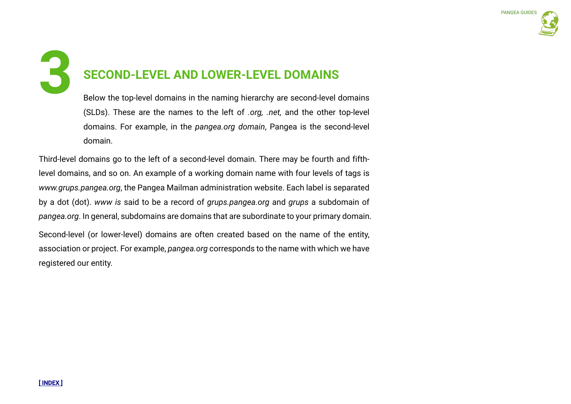# **SECOND-LEVEL AND LOWER-LEVEL DOMAINS 3**

Below the top-level domains in the naming hierarchy are second-level domains (SLDs). These are the names to the left of *.org, .net,* and the other top-level domains. For example, in the *pangea.org domain*, Pangea is the second-level domain.

Third-level domains go to the left of a second-level domain. There may be fourth and fifthlevel domains, and so on. An example of a working domain name with four levels of tags is *www.grups.pangea.org*, the Pangea Mailman administration website. Each label is separated by a dot (dot). *www is* said to be a record of *grups.pangea.org* and *grups* a subdomain of *pangea.org*. In general, subdomains are domains that are subordinate to your primary domain.

Second-level (or lower-level) domains are often created based on the name of the entity, association or project. For example, *pangea.org* corresponds to the name with which we have registered our entity.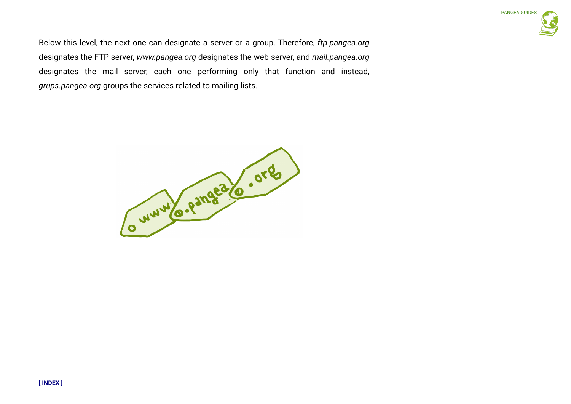Below this level, the next one can designate a server or a group. Therefore, *ftp.pangea.org*  designates the FTP server, *www.pangea.org* designates the web server, and *mail.pangea.org*  designates the mail server, each one performing only that function and instead, *grups.pangea.org* groups the services related to mailing lists.

Cummo-Pangea (C. org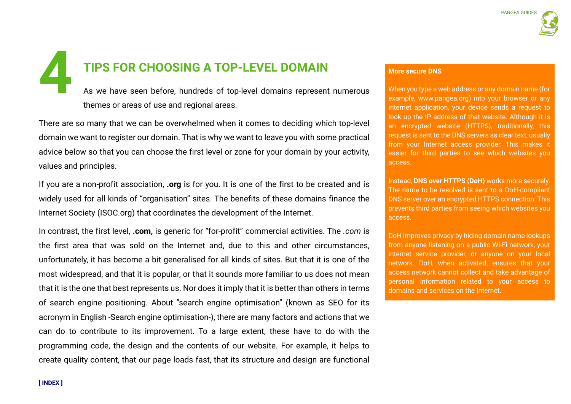# **TIPS FOR CHOOSING A TOP-LEVEL DOMAIN**

As we have seen before, hundreds of top-level domains represent numerous themes or areas of use and regional areas. **4 A TOP-LEVEL DOMAIN**<br>As we have seen before, hundreds of top-level domains represent numerous<br>themes or areas of use and regional areas

There are so many that we can be overwhelmed when it comes to deciding which top-level domain we want to register our domain. That is why we want to leave you with some practical advice below so that you can choose the first level or zone for your domain by your activity, values and principles.

If you are a non-profit association, **.org** is for you. It is one of the first to be created and is widely used for all kinds of "organisation" sites. The benefits of these domains finance the Internet Society (ISOC.org) that coordinates the development of the Internet.

In contrast, the first level, **.com,** is generic for "for-profit" commercial activities. The *.com* is the first area that was sold on the Internet and, due to this and other circumstances, unfortunately, it has become a bit generalised for all kinds of sites. But that it is one of the most widespread, and that it is popular, or that it sounds more familiar to us does not mean that it is the one that best represents us. Nor does it imply that it is better than others in terms of search engine positioning. About "search engine optimisation" (known as SEO for its acronym in English -Search engine optimisation-), there are many factors and actions that we can do to contribute to its improvement. To a large extent, these have to do with the programming code, the design and the contents of our website. For example, it helps to create quality content, that our page loads fast, that its structure and design are functional

When you type a web address or any domain name (for example, www.pangea.org) into your browser or any internet application, your device sends a request to look up the IP address of that website. Although it is an encrypted website (HTTPS), traditionally, this request is sent to the DNS servers as clear text, usually from your Internet access provider. This makes it easier for third parties to see which websites you access.

Instead, **DNS over HTTPS (DoH)** works more securely. The name to be resolved is sent to a DoH-compliant DNS server over an encrypted HTTPS connection. This prevents third parties from seeing which websites you access.

DoH improves privacy by hiding domain name lookups from anyone listening on a public Wi-Fi network, your internet service provider, or anyone on your local network. DoH, when activated, ensures that your access network cannot collect and take advantage of personal information related to your access to domains and services on the Internet.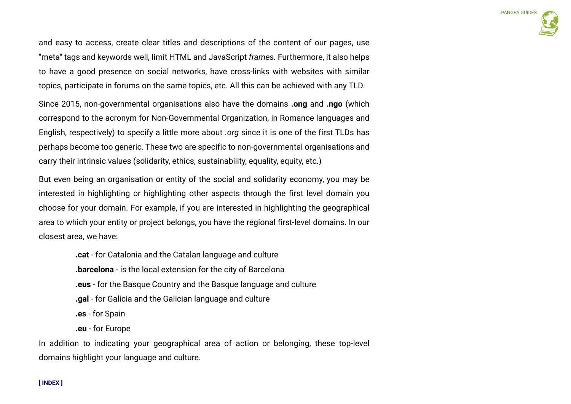and easy to access, create clear titles and descriptions of the content of our pages, use "meta" tags and keywords well, limit HTML and JavaScript *frames.* Furthermore, it also helps to have a good presence on social networks, have cross-links with websites with similar topics, participate in forums on the same topics, etc. All this can be achieved with any TLD.

Since 2015, non-governmental organisations also have the domains **.ong** and **.ngo** (which correspond to the acronym for Non-Governmental Organization, in Romance languages and English, respectively) to specify a little more about *.org* since it is one of the first TLDs has perhaps become too generic. These two are specific to non-governmental organisations and carry their intrinsic values (solidarity, ethics, sustainability, equality, equity, etc.)

But even being an organisation or entity of the social and solidarity economy, you may be interested in highlighting or highlighting other aspects through the first level domain you choose for your domain. For example, if you are interested in highlighting the geographical area to which your entity or project belongs, you have the regional first-level domains. In our closest area, we have:

> **.cat** - for Catalonia and the Catalan language and culture **.barcelona** - is the local extension for the city of Barcelona **.eus** - for the Basque Country and the Basque language and culture **.gal** - for Galicia and the Galician language and culture **.es** - for Spain **.eu** - for Europe

In addition to indicating your geographical area of action or belonging, these top-level domains highlight your language and culture.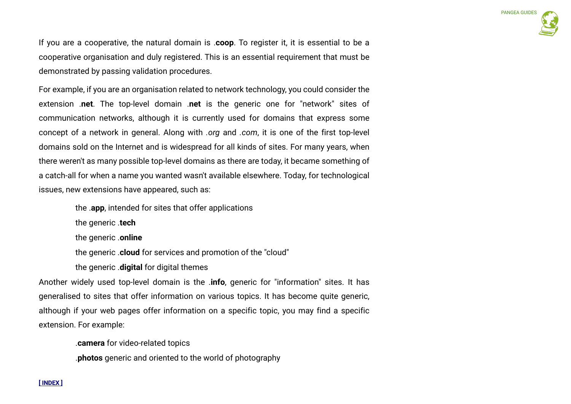If you are a cooperative, the natural domain is .**coop**. To register it, it is essential to be a cooperative organisation and duly registered. This is an essential requirement that must be demonstrated by passing validation procedures.

For example, if you are an organisation related to network technology, you could consider the extension .**net**. The top-level domain .**net** is the generic one for "network" sites of communication networks, although it is currently used for domains that express some concept of a network in general. Along with *.org* and *.com*, it is one of the first top-level domains sold on the Internet and is widespread for all kinds of sites. For many years, when there weren't as many possible top-level domains as there are today, it became something of a catch-all for when a name you wanted wasn't available elsewhere. Today, for technological issues, new extensions have appeared, such as:

the .**app**, intended for sites that offer applications

the generic .**tech**

the generic .**online**

the generic .**cloud** for services and promotion of the "cloud"

the generic .**digital** for digital themes

Another widely used top-level domain is the .**info**, generic for "information" sites. It has generalised to sites that offer information on various topics. It has become quite generic, although if your web pages offer information on a specific topic, you may find a specific extension. For example:

.**camera** for video-related topics

.**photos** generic and oriented to the world of photography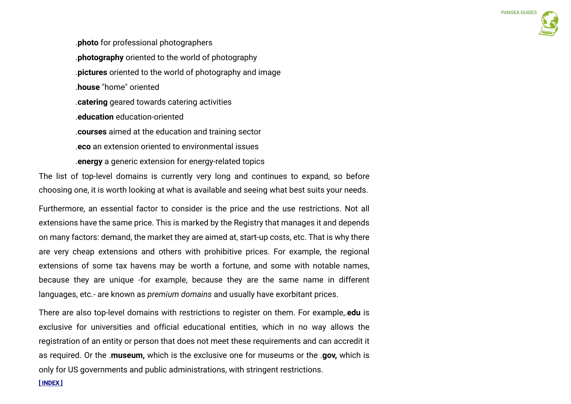.**photo** for professional photographers .**photography** oriented to the world of photography .**pictures** oriented to the world of photography and image .**house** "home" oriented .**catering** geared towards catering activities .**education** education-oriented .**courses** aimed at the education and training sector .**eco** an extension oriented to environmental issues .**energy** a generic extension for energy-related topics

The list of top-level domains is currently very long and continues to expand, so before choosing one, it is worth looking at what is available and seeing what best suits your needs.

Furthermore, an essential factor to consider is the price and the use restrictions. Not all extensions have the same price. This is marked by the Registry that manages it and depends on many factors: demand, the market they are aimed at, start-up costs, etc. That is why there are very cheap extensions and others with prohibitive prices. For example, the regional extensions of some tax havens may be worth a fortune, and some with notable names, because they are unique -for example, because they are the same name in different languages, etc.- are known as *premium domains* and usually have exorbitant prices.

There are also top-level domains with restrictions to register on them. For example,.**edu** is exclusive for universities and official educational entities, which in no way allows the registration of an entity or person that does not meet these requirements and can accredit it as required. Or the .**museum,** which is the exclusive one for museums or the .**gov,** which is only for US governments and public administrations, with stringent restrictions.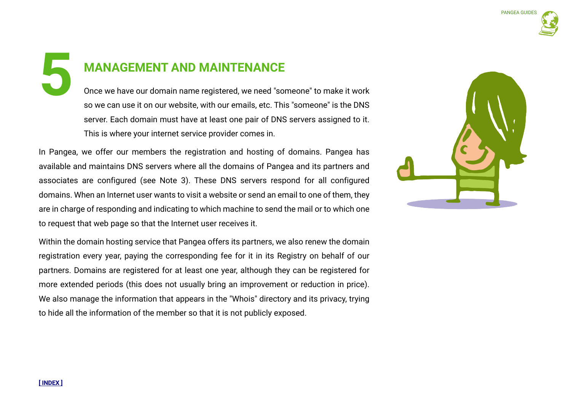**5**

# **MANAGEMENT AND MAINTENANCE**

Once we have our domain name registered, we need "someone" to make it work so we can use it on our website, with our emails, etc. This "someone" is the DNS server. Each domain must have at least one pair of DNS servers assigned to it. This is where your internet service provider comes in.

In Pangea, we offer our members the registration and hosting of domains. Pangea has available and maintains DNS servers where all the domains of Pangea and its partners and associates are configured (see Note 3). These DNS servers respond for all configured domains. When an Internet user wants to visit a website or send an email to one of them, they are in charge of responding and indicating to which machine to send the mail or to which one to request that web page so that the Internet user receives it.

Within the domain hosting service that Pangea offers its partners, we also renew the domain registration every year, paying the corresponding fee for it in its Registry on behalf of our partners. Domains are registered for at least one year, although they can be registered for more extended periods (this does not usually bring an improvement or reduction in price). We also manage the information that appears in the "Whois" directory and its privacy, trying to hide all the information of the member so that it is not publicly exposed.

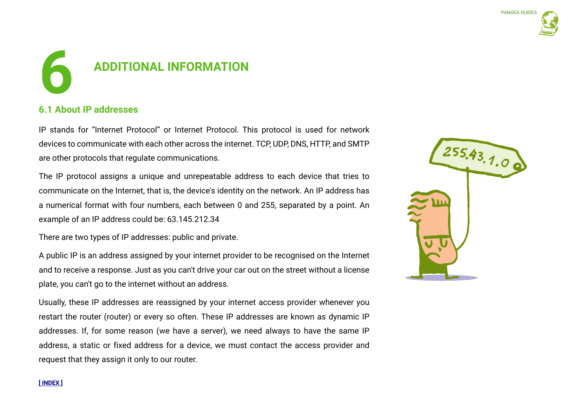

# **ADDITIONAL INFORMATION 6**

# **6.1 About IP addresses**

IP stands for "Internet Protocol" or Internet Protocol. This protocol is used for network devices to communicate with each other across the internet. TCP, UDP, DNS, HTTP, and SMTP are other protocols that regulate communications.

The IP protocol assigns a unique and unrepeatable address to each device that tries to communicate on the Internet, that is, the device's identity on the network. An IP address has a numerical format with four numbers, each between 0 and 255, separated by a point. An example of an IP address could be: 63.145.212.34

There are two types of IP addresses: public and private.

A public IP is an address assigned by your internet provider to be recognised on the Internet and to receive a response. Just as you can't drive your car out on the street without a license plate, you can't go to the internet without an address.

Usually, these IP addresses are reassigned by your internet access provider whenever you restart the router (router) or every so often. These IP addresses are known as dynamic IP addresses. If, for some reason (we have a server), we need always to have the same IP address, a static or fixed address for a device, we must contact the access provider and request that they assign it only to our router.

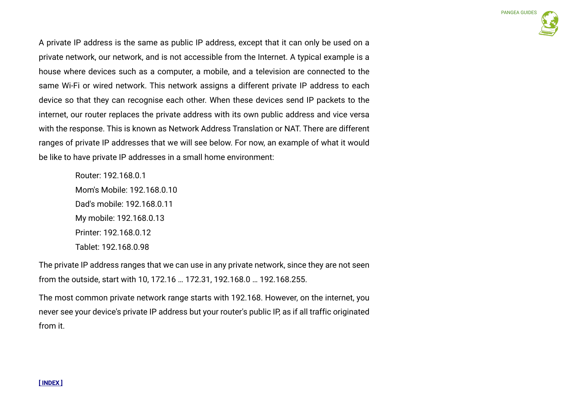A private IP address is the same as public IP address, except that it can only be used on a private network, our network, and is not accessible from the Internet. A typical example is a house where devices such as a computer, a mobile, and a television are connected to the same Wi-Fi or wired network. This network assigns a different private IP address to each device so that they can recognise each other. When these devices send IP packets to the internet, our router replaces the private address with its own public address and vice versa with the response. This is known as Network Address Translation or NAT. There are different ranges of private IP addresses that we will see below. For now, an example of what it would be like to have private IP addresses in a small home environment:

> Router: 192.168.0.1 Mom's Mobile: 192.168.0.10 Dad's mobile: 192.168.0.11 My mobile: 192.168.0.13 Printer: 192.168.0.12 Tablet: 192.168.0.98

The private IP address ranges that we can use in any private network, since they are not seen from the outside, start with 10, 172.16 … 172.31, 192.168.0 … 192.168.255.

The most common private network range starts with 192.168. However, on the internet, you never see your device's private IP address but your router's public IP, as if all traffic originated from it.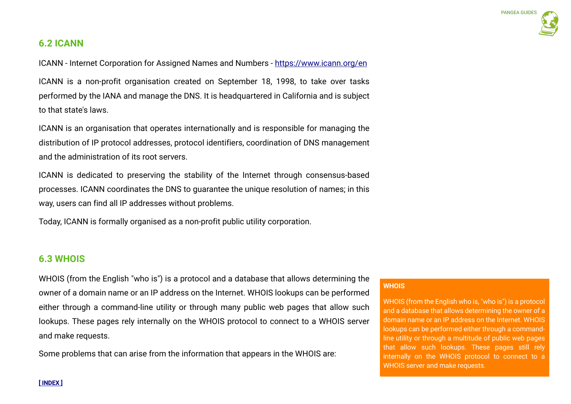# **6.2 ICANN**

ICANN - Internet Corporation for Assigned Names and Numbers - https://www.icann.org/en

ICANN is a non-profit organisation created on September 18, 1998, to take over tasks performed by the IANA and manage the DNS. It is headquartered in California and is subject to that state's laws.

ICANN is an organisation that operates internationally and is responsible for managing the distribution of IP protocol addresses, protocol identifiers, coordination of DNS management and the administration of its root servers.

ICANN is dedicated to preserving the stability of the Internet through consensus-based processes. ICANN coordinates the DNS to guarantee the unique resolution of names; in this way, users can find all IP addresses without problems.

Today, ICANN is formally organised as a non-profit public utility corporation.

# **6.3 WHOIS**

WHOIS (from the English "who is") is a protocol and a database that allows determining the owner of a domain name or an IP address on the Internet. WHOIS lookups can be performed either through a command-line utility or through many public web pages that allow such lookups. These pages rely internally on the WHOIS protocol to connect to a WHOIS server and make requests.

Some problems that can arise from the information that appears in the WHOIS are:

# **WHOIS**

WHOIS (from the English who is, "who is") is a protocol and a database that allows determining the owner of a domain name or an IP address on the Internet. WHOIS lookups can be performed either through a commandline utility or through a multitude of public web pages that allow such lookups. These pages still rely internally on the WHOIS protocol to connect to a WHOIS server and make requests.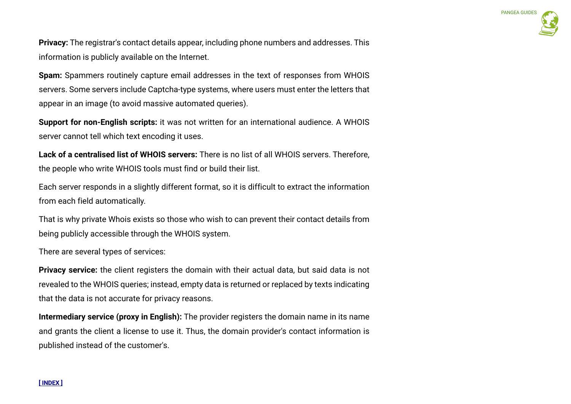**Privacy:** The registrar's contact details appear, including phone numbers and addresses. This information is publicly available on the Internet.

**Spam:** Spammers routinely capture email addresses in the text of responses from WHOIS servers. Some servers include Captcha-type systems, where users must enter the letters that appear in an image (to avoid massive automated queries).

**Support for non-English scripts:** it was not written for an international audience. A WHOIS server cannot tell which text encoding it uses.

**Lack of a centralised list of WHOIS servers:** There is no list of all WHOIS servers. Therefore, the people who write WHOIS tools must find or build their list.

Each server responds in a slightly different format, so it is difficult to extract the information from each field automatically.

That is why private Whois exists so those who wish to can prevent their contact details from being publicly accessible through the WHOIS system.

There are several types of services:

**Privacy service:** the client registers the domain with their actual data, but said data is not revealed to the WHOIS queries; instead, empty data is returned or replaced by texts indicating that the data is not accurate for privacy reasons.

**Intermediary service (proxy in English):** The provider registers the domain name in its name and grants the client a license to use it. Thus, the domain provider's contact information is published instead of the customer's.